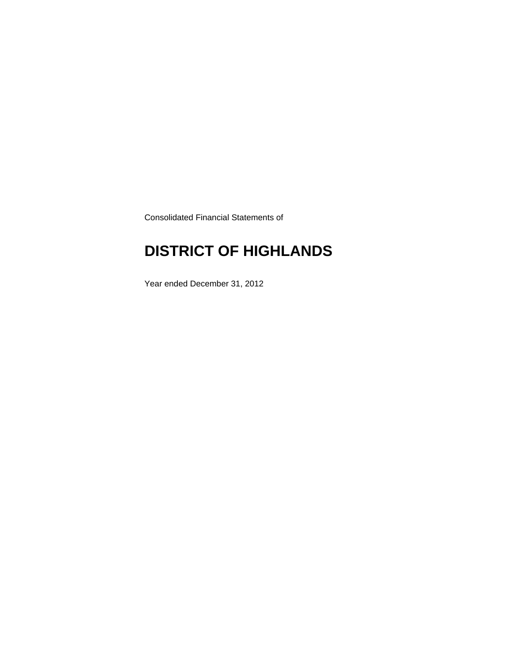Consolidated Financial Statements of

## **DISTRICT OF HIGHLANDS**

Year ended December 31, 2012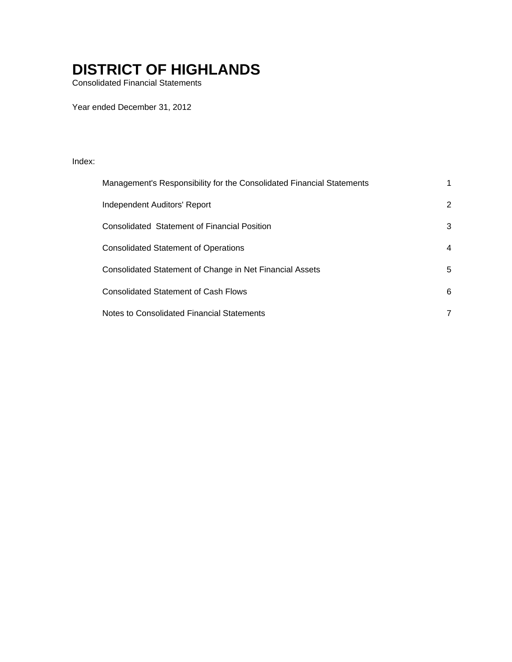Consolidated Financial Statements

Year ended December 31, 2012

### Index:

| Management's Responsibility for the Consolidated Financial Statements | $\mathbf 1$ |
|-----------------------------------------------------------------------|-------------|
| Independent Auditors' Report                                          | 2           |
| Consolidated Statement of Financial Position                          | 3           |
| <b>Consolidated Statement of Operations</b>                           | 4           |
| Consolidated Statement of Change in Net Financial Assets              | 5           |
| <b>Consolidated Statement of Cash Flows</b>                           | 6           |
| Notes to Consolidated Financial Statements                            | 7           |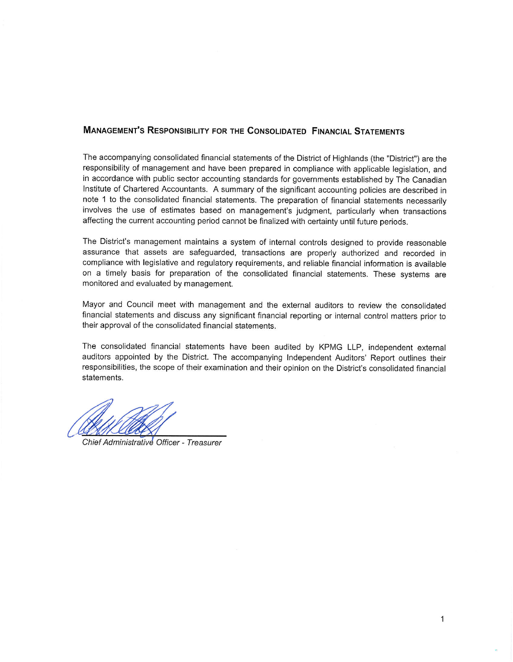### **MANAGEMENT'S RESPONSIBILITY FOR THE CONSOLIDATED FINANCIAL STATEMENTS**

The accompanying consolidated financial statements of the District of Highlands (the "District") are the responsibility of management and have been prepared in compliance with applicable legislation, and in accordance with public sector accounting standards for governments established by The Canadian Institute of Chartered Accountants. A summary of the significant accounting policies are described in note 1 to the consolidated financial statements. The preparation of financial statements necessarily involves the use of estimates based on management's judgment, particularly when transactions affecting the current accounting period cannot be finalized with certainty until future periods.

The District's management maintains a system of internal controls designed to provide reasonable assurance that assets are safeguarded, transactions are properly authorized and recorded in compliance with legislative and regulatory requirements, and reliable financial information is available on a timely basis for preparation of the consolidated financial statements. These systems are monitored and evaluated by management.

Mayor and Council meet with management and the external auditors to review the consolidated financial statements and discuss any significant financial reporting or internal control matters prior to their approval of the consolidated financial statements.

The consolidated financial statements have been audited by KPMG LLP, independent external auditors appointed by the District. The accompanying Independent Auditors' Report outlines their responsibilities, the scope of their examination and their opinion on the District's consolidated financial statements.

Chief Administrative Officer - Treasurer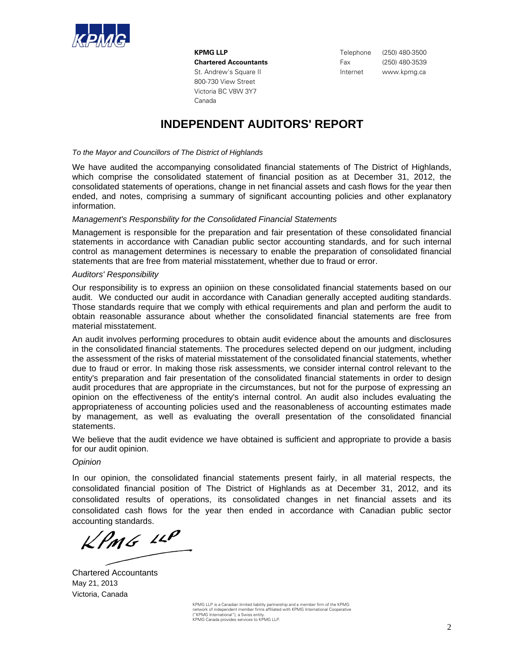

800-730 View Street Victoria BC V8W 3Y7 Canada

**KPMG LLP Telephone** (250) 480-3500 **Chartered Accountants** Fax (250) 480-3539 St. Andrew's Square II and the state of the state of the state of the state of the state of the state of the state of the state of the state of the state of the state of the state of the state of the state of the state of

### **INDEPENDENT AUDITORS' REPORT**

#### *To the Mayor and Councillors of The District of Highlands*

We have audited the accompanying consolidated financial statements of The District of Highlands, which comprise the consolidated statement of financial position as at December 31, 2012, the consolidated statements of operations, change in net financial assets and cash flows for the year then ended, and notes, comprising a summary of significant accounting policies and other explanatory information.

#### *Management's Responsbility for the Consolidated Financial Statements*

Management is responsible for the preparation and fair presentation of these consolidated financial statements in accordance with Canadian public sector accounting standards, and for such internal control as management determines is necessary to enable the preparation of consolidated financial statements that are free from material misstatement, whether due to fraud or error.

#### *Auditors' Responsibility*

Our responsibility is to express an opiniion on these consolidated financial statements based on our audit. We conducted our audit in accordance with Canadian generally accepted auditing standards. Those standards require that we comply with ethical requirements and plan and perform the audit to obtain reasonable assurance about whether the consolidated financial statements are free from material misstatement.

An audit involves performing procedures to obtain audit evidence about the amounts and disclosures in the consolidated financial statements. The procedures selected depend on our judgment, including the assessment of the risks of material misstatement of the consolidated financial statements, whether due to fraud or error. In making those risk assessments, we consider internal control relevant to the entity's preparation and fair presentation of the consolidated financial statements in order to design audit procedures that are appropriate in the circumstances, but not for the purpose of expressing an opinion on the effectiveness of the entity's internal control. An audit also includes evaluating the appropriateness of accounting policies used and the reasonableness of accounting estimates made by management, as well as evaluating the overall presentation of the consolidated financial statements.

We believe that the audit evidence we have obtained is sufficient and appropriate to provide a basis for our audit opinion.

#### *Opinion*

In our opinion, the consolidated financial statements present fairly, in all material respects, the consolidated financial position of The District of Highlands as at December 31, 2012, and its consolidated results of operations, its consolidated changes in net financial assets and its consolidated cash flows for the year then ended in accordance with Canadian public sector accounting standards.

KPMG LLP

Chartered Accountants May 21, 2013 Victoria, Canada

KPMG LLP is a Canadian limited liability partnership and a member firm of the KPMG network of independent member firms affiliated with KPMG International Cooperative ("KPMG International"), a Swiss entity. KPMG Canada provides services to KPMG LLP.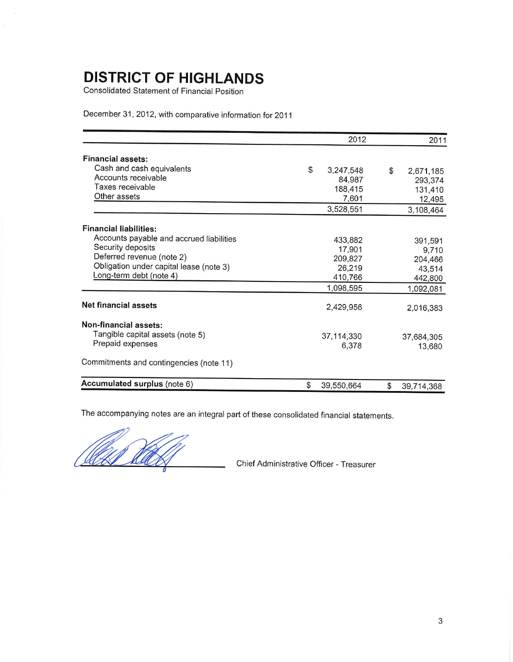Consolidated Statement of Financial Position

December 31, 2012, with comparative information for 2011

|                                          | 2012              |    |                   |  |
|------------------------------------------|-------------------|----|-------------------|--|
| Financial assets:                        |                   |    |                   |  |
| Cash and cash equivalents                | \$<br>3,247,548   | \$ | 2,671,185         |  |
| Accounts receivable                      | 84.987            |    | 293,374           |  |
| Taxes receivable                         | 188,415           |    | 131,410           |  |
| Other assets                             | 7,601             |    | 12,495            |  |
|                                          | 3,528,551         |    | 3,108,464         |  |
| Financial liabilities:                   |                   |    |                   |  |
| Accounts payable and accrued liabilities |                   |    |                   |  |
| Security deposits                        | 433,882<br>17.901 |    | 391,591           |  |
| Deferred revenue (note 2)                | 209,827           |    | 9,710             |  |
| Obligation under capital lease (note 3)  | 26,219            |    | 204,466           |  |
| Long-term debt (note 4)                  | 410,766           |    | 43,514<br>442,800 |  |
|                                          | 1,098,595         |    | 1,092,081         |  |
|                                          |                   |    |                   |  |
| <b>Net financial assets</b>              | 2,429,956         |    | 2,016,383         |  |
| Non-financial assets:                    |                   |    |                   |  |
| Tangible capital assets (note 5)         | 37,114,330        |    | 37,684,305        |  |
| Prepaid expenses                         | 6,378             |    | 13,680            |  |
| Commitments and contingencies (note 11)  |                   |    |                   |  |
| Accumulated surplus (note 6)             | \$<br>39,550,664  | \$ | 39,714,368        |  |

The accompanying notes are an integral part of these consolidated financial statements.

Weble R

Chief Administrative Officer - Treasurer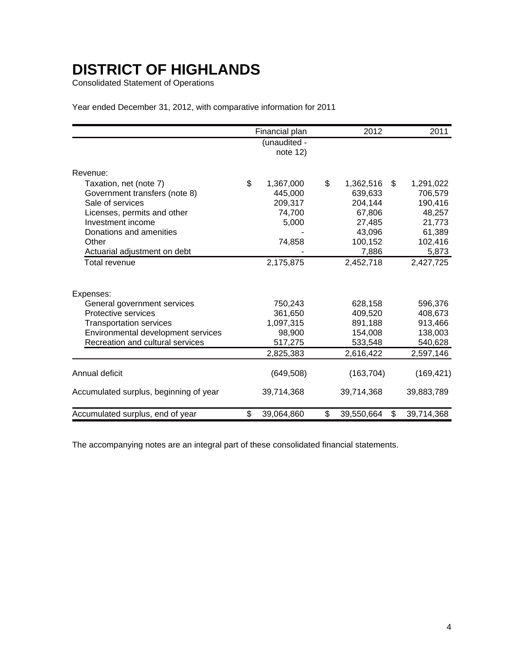Consolidated Statement of Operations

Year ended December 31, 2012, with comparative information for 2011

|                                        | Financial plan   | 2012             | 2011             |
|----------------------------------------|------------------|------------------|------------------|
|                                        | (unaudited -     |                  |                  |
|                                        | note $12$ )      |                  |                  |
| Revenue:                               |                  |                  |                  |
| Taxation, net (note 7)                 | \$<br>1,367,000  | \$<br>1,362,516  | \$<br>1,291,022  |
| Government transfers (note 8)          | 445,000          | 639,633          | 706,579          |
| Sale of services                       | 209,317          | 204,144          | 190,416          |
| Licenses, permits and other            | 74,700           | 67,806           | 48,257           |
| Investment income                      | 5,000            | 27,485           | 21,773           |
| Donations and amenities                |                  | 43,096           | 61,389           |
| Other                                  | 74,858           | 100,152          | 102,416          |
| Actuarial adjustment on debt           |                  | 7,886            | 5,873            |
| Total revenue                          | 2,175,875        | 2,452,718        | 2,427,725        |
| Expenses:                              |                  |                  |                  |
| General government services            | 750,243          | 628,158          | 596,376          |
| Protective services                    | 361,650          | 409,520          | 408,673          |
| <b>Transportation services</b>         | 1,097,315        | 891,188          | 913,466          |
| Environmental development services     | 98,900           | 154,008          | 138,003          |
| Recreation and cultural services       | 517,275          | 533,548          | 540,628          |
|                                        | 2,825,383        | 2,616,422        | 2,597,146        |
| Annual deficit                         | (649, 508)       | (163, 704)       | (169, 421)       |
| Accumulated surplus, beginning of year | 39,714,368       | 39,714,368       | 39,883,789       |
| Accumulated surplus, end of year       | \$<br>39,064,860 | \$<br>39,550,664 | \$<br>39,714,368 |

The accompanying notes are an integral part of these consolidated financial statements.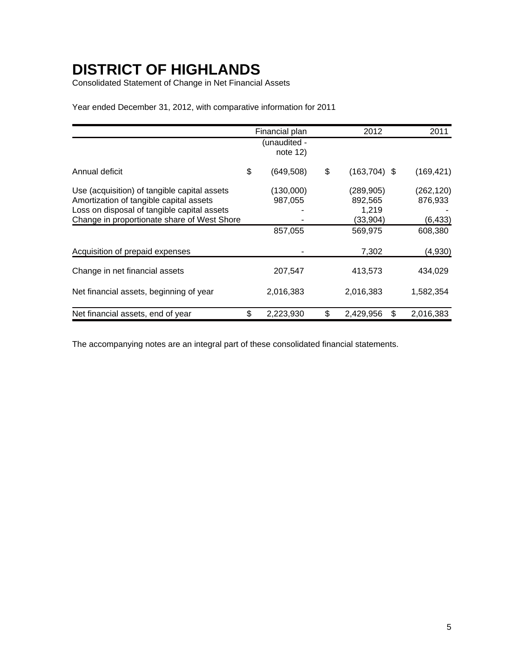Consolidated Statement of Change in Net Financial Assets

|                                                                                                                                                                                       | Financial plan             | 2012                                       | 2011                              |
|---------------------------------------------------------------------------------------------------------------------------------------------------------------------------------------|----------------------------|--------------------------------------------|-----------------------------------|
|                                                                                                                                                                                       | unaudited -<br>note $12$ ) |                                            |                                   |
| Annual deficit                                                                                                                                                                        | \$<br>(649, 508)           | \$<br>$(163, 704)$ \$                      | (169, 421)                        |
| Use (acquisition) of tangible capital assets<br>Amortization of tangible capital assets<br>Loss on disposal of tangible capital assets<br>Change in proportionate share of West Shore | (130,000)<br>987,055       | (289, 905)<br>892,565<br>1,219<br>(33,904) | (262, 120)<br>876,933<br>(6, 433) |
|                                                                                                                                                                                       | 857,055                    | 569,975                                    | 608,380                           |
| Acquisition of prepaid expenses                                                                                                                                                       |                            | 7,302                                      | (4,930)                           |
| Change in net financial assets                                                                                                                                                        | 207,547                    | 413,573                                    | 434,029                           |
| Net financial assets, beginning of year                                                                                                                                               | 2,016,383                  | 2,016,383                                  | 1,582,354                         |
| Net financial assets, end of year                                                                                                                                                     | \$<br>2,223,930            | \$<br>2,429,956                            | \$<br>2,016,383                   |

Year ended December 31, 2012, with comparative information for 2011

The accompanying notes are an integral part of these consolidated financial statements.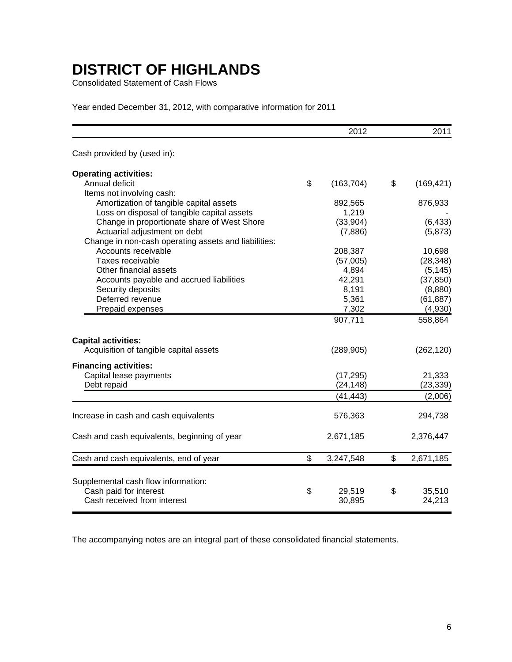Consolidated Statement of Cash Flows

Year ended December 31, 2012, with comparative information for 2011

|                                                                                            | 2012              | 2011             |
|--------------------------------------------------------------------------------------------|-------------------|------------------|
| Cash provided by (used in):                                                                |                   |                  |
| <b>Operating activities:</b>                                                               |                   |                  |
| Annual deficit                                                                             | \$<br>(163, 704)  | \$<br>(169, 421) |
| Items not involving cash:                                                                  |                   |                  |
| Amortization of tangible capital assets                                                    | 892,565           | 876,933          |
| Loss on disposal of tangible capital assets<br>Change in proportionate share of West Shore | 1,219<br>(33,904) | (6, 433)         |
| Actuarial adjustment on debt                                                               | (7,886)           | (5, 873)         |
| Change in non-cash operating assets and liabilities:                                       |                   |                  |
| Accounts receivable                                                                        | 208,387           | 10,698           |
| Taxes receivable                                                                           | (57,005)          | (28, 348)        |
| Other financial assets                                                                     | 4,894             | (5, 145)         |
| Accounts payable and accrued liabilities                                                   | 42,291            | (37, 850)        |
| Security deposits                                                                          | 8,191             | (8,880)          |
| Deferred revenue                                                                           | 5,361             | (61, 887)        |
| Prepaid expenses                                                                           | 7,302             | (4,930)          |
|                                                                                            | 907,711           | 558,864          |
| <b>Capital activities:</b>                                                                 |                   |                  |
| Acquisition of tangible capital assets                                                     | (289, 905)        | (262, 120)       |
| <b>Financing activities:</b>                                                               |                   |                  |
| Capital lease payments                                                                     | (17, 295)         | 21,333           |
| Debt repaid                                                                                | (24, 148)         | (23, 339)        |
|                                                                                            | (41, 443)         | (2,006)          |
|                                                                                            |                   |                  |
| Increase in cash and cash equivalents                                                      | 576,363           | 294,738          |
| Cash and cash equivalents, beginning of year                                               | 2,671,185         | 2,376,447        |
|                                                                                            |                   |                  |
| Cash and cash equivalents, end of year                                                     | \$<br>3,247,548   | \$<br>2,671,185  |
|                                                                                            |                   |                  |
| Supplemental cash flow information:<br>Cash paid for interest                              | \$<br>29,519      | \$<br>35,510     |
| Cash received from interest                                                                | 30,895            | 24,213           |
|                                                                                            |                   |                  |

The accompanying notes are an integral part of these consolidated financial statements.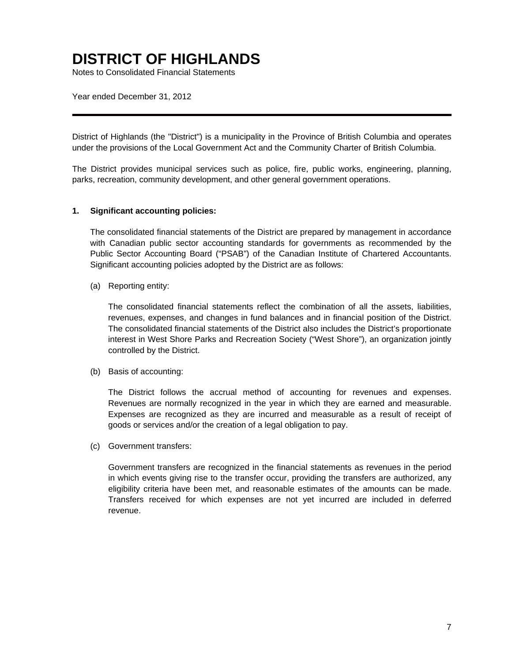Notes to Consolidated Financial Statements

Year ended December 31, 2012

District of Highlands (the "District") is a municipality in the Province of British Columbia and operates under the provisions of the Local Government Act and the Community Charter of British Columbia.

The District provides municipal services such as police, fire, public works, engineering, planning, parks, recreation, community development, and other general government operations.

#### **1. Significant accounting policies:**

The consolidated financial statements of the District are prepared by management in accordance with Canadian public sector accounting standards for governments as recommended by the Public Sector Accounting Board ("PSAB") of the Canadian Institute of Chartered Accountants. Significant accounting policies adopted by the District are as follows:

(a) Reporting entity:

The consolidated financial statements reflect the combination of all the assets, liabilities, revenues, expenses, and changes in fund balances and in financial position of the District. The consolidated financial statements of the District also includes the District's proportionate interest in West Shore Parks and Recreation Society ("West Shore"), an organization jointly controlled by the District.

(b) Basis of accounting:

The District follows the accrual method of accounting for revenues and expenses. Revenues are normally recognized in the year in which they are earned and measurable. Expenses are recognized as they are incurred and measurable as a result of receipt of goods or services and/or the creation of a legal obligation to pay.

(c) Government transfers:

Government transfers are recognized in the financial statements as revenues in the period in which events giving rise to the transfer occur, providing the transfers are authorized, any eligibility criteria have been met, and reasonable estimates of the amounts can be made. Transfers received for which expenses are not yet incurred are included in deferred revenue.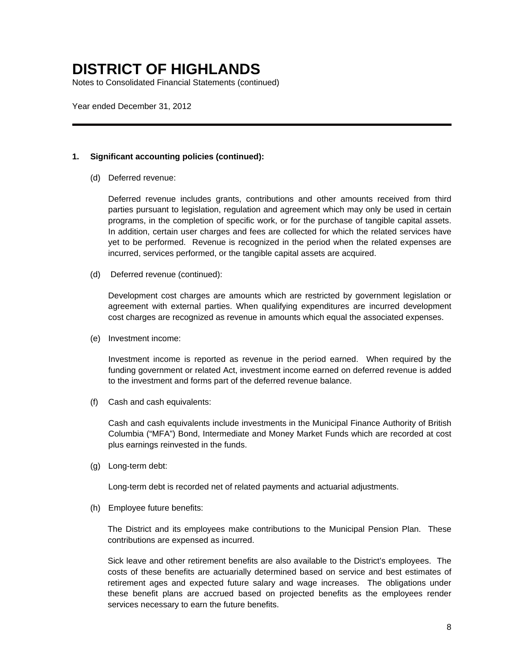Notes to Consolidated Financial Statements (continued)

Year ended December 31, 2012

#### **1. Significant accounting policies (continued):**

(d) Deferred revenue:

Deferred revenue includes grants, contributions and other amounts received from third parties pursuant to legislation, regulation and agreement which may only be used in certain programs, in the completion of specific work, or for the purchase of tangible capital assets. In addition, certain user charges and fees are collected for which the related services have yet to be performed. Revenue is recognized in the period when the related expenses are incurred, services performed, or the tangible capital assets are acquired.

(d) Deferred revenue (continued):

Development cost charges are amounts which are restricted by government legislation or agreement with external parties. When qualifying expenditures are incurred development cost charges are recognized as revenue in amounts which equal the associated expenses.

(e) Investment income:

Investment income is reported as revenue in the period earned. When required by the funding government or related Act, investment income earned on deferred revenue is added to the investment and forms part of the deferred revenue balance.

(f) Cash and cash equivalents:

Cash and cash equivalents include investments in the Municipal Finance Authority of British Columbia ("MFA") Bond, Intermediate and Money Market Funds which are recorded at cost plus earnings reinvested in the funds.

(g) Long-term debt:

Long-term debt is recorded net of related payments and actuarial adjustments.

(h) Employee future benefits:

The District and its employees make contributions to the Municipal Pension Plan. These contributions are expensed as incurred.

Sick leave and other retirement benefits are also available to the District's employees. The costs of these benefits are actuarially determined based on service and best estimates of retirement ages and expected future salary and wage increases. The obligations under these benefit plans are accrued based on projected benefits as the employees render services necessary to earn the future benefits.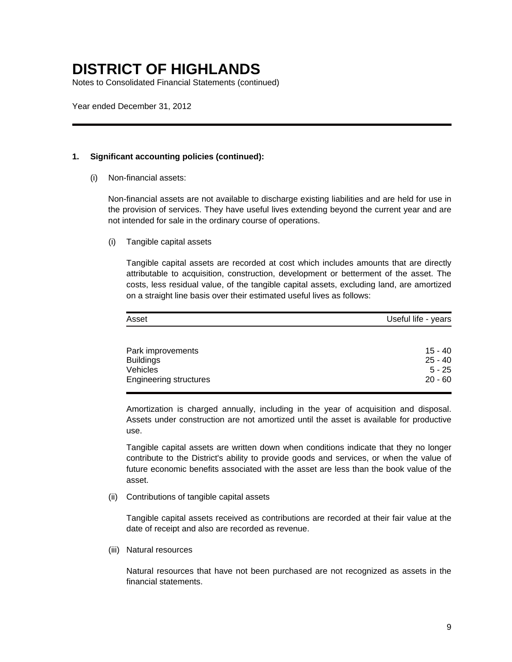Notes to Consolidated Financial Statements (continued)

Year ended December 31, 2012

### **1. Significant accounting policies (continued):**

(i) Non-financial assets:

Non-financial assets are not available to discharge existing liabilities and are held for use in the provision of services. They have useful lives extending beyond the current year and are not intended for sale in the ordinary course of operations.

(i) Tangible capital assets

Tangible capital assets are recorded at cost which includes amounts that are directly attributable to acquisition, construction, development or betterment of the asset. The costs, less residual value, of the tangible capital assets, excluding land, are amortized on a straight line basis over their estimated useful lives as follows:

| Asset                         | Useful life - years |
|-------------------------------|---------------------|
|                               |                     |
| Park improvements             | $15 - 40$           |
| <b>Buildings</b>              | $25 - 40$           |
| Vehicles                      | $5 - 25$            |
| <b>Engineering structures</b> | $20 - 60$           |

Amortization is charged annually, including in the year of acquisition and disposal. Assets under construction are not amortized until the asset is available for productive use.

Tangible capital assets are written down when conditions indicate that they no longer contribute to the District's ability to provide goods and services, or when the value of future economic benefits associated with the asset are less than the book value of the asset.

(ii) Contributions of tangible capital assets

Tangible capital assets received as contributions are recorded at their fair value at the date of receipt and also are recorded as revenue.

(iii) Natural resources

Natural resources that have not been purchased are not recognized as assets in the financial statements.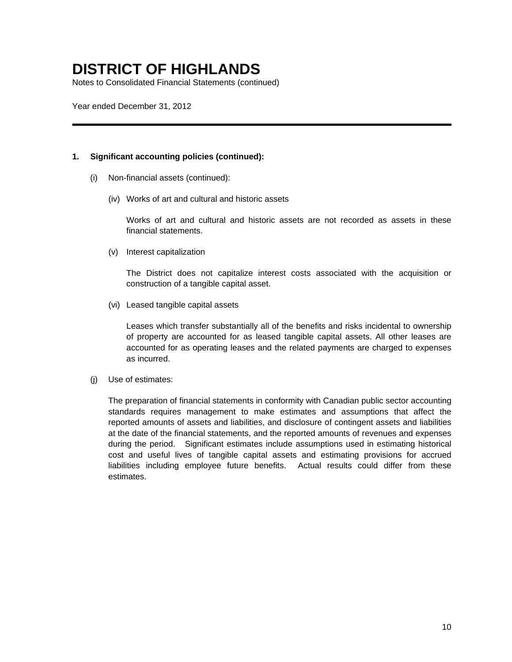Notes to Consolidated Financial Statements (continued)

Year ended December 31, 2012

#### **1. Significant accounting policies (continued):**

- (i) Non-financial assets (continued):
	- (iv) Works of art and cultural and historic assets

Works of art and cultural and historic assets are not recorded as assets in these financial statements.

(v) Interest capitalization

The District does not capitalize interest costs associated with the acquisition or construction of a tangible capital asset.

(vi) Leased tangible capital assets

Leases which transfer substantially all of the benefits and risks incidental to ownership of property are accounted for as leased tangible capital assets. All other leases are accounted for as operating leases and the related payments are charged to expenses as incurred.

(j) Use of estimates:

The preparation of financial statements in conformity with Canadian public sector accounting standards requires management to make estimates and assumptions that affect the reported amounts of assets and liabilities, and disclosure of contingent assets and liabilities at the date of the financial statements, and the reported amounts of revenues and expenses during the period. Significant estimates include assumptions used in estimating historical cost and useful lives of tangible capital assets and estimating provisions for accrued liabilities including employee future benefits. Actual results could differ from these estimates.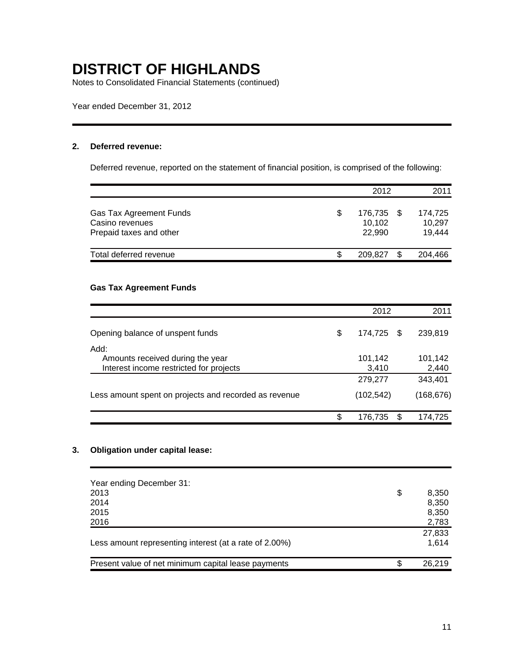Notes to Consolidated Financial Statements (continued)

Year ended December 31, 2012

#### **2. Deferred revenue:**

Deferred revenue, reported on the statement of financial position, is comprised of the following:

|                                                                              |   | 2012                           |     | 2011                        |
|------------------------------------------------------------------------------|---|--------------------------------|-----|-----------------------------|
| <b>Gas Tax Agreement Funds</b><br>Casino revenues<br>Prepaid taxes and other |   | 176,735 \$<br>10,102<br>22,990 |     | 174,725<br>10,297<br>19,444 |
| Total deferred revenue                                                       | S | 209.827                        | \$. | 204,466                     |

### **Gas Tax Agreement Funds**

|                                                                                     | 2012                | 2011             |
|-------------------------------------------------------------------------------------|---------------------|------------------|
| Opening balance of unspent funds                                                    | \$<br>174,725 \$    | 239,819          |
| Add:<br>Amounts received during the year<br>Interest income restricted for projects | 101,142<br>3,410    | 101,142<br>2,440 |
|                                                                                     | 279,277             | 343,401          |
| Less amount spent on projects and recorded as revenue                               | (102, 542)          | (168, 676)       |
|                                                                                     | \$<br>\$<br>176.735 | 174.725          |

### **3. Obligation under capital lease:**

| Year ending December 31:                               |              |
|--------------------------------------------------------|--------------|
| 2013                                                   | \$<br>8,350  |
| 2014                                                   | 8,350        |
| 2015                                                   | 8,350        |
| 2016                                                   | 2,783        |
|                                                        | 27,833       |
| Less amount representing interest (at a rate of 2.00%) | 1,614        |
|                                                        |              |
| Present value of net minimum capital lease payments    | \$<br>26.219 |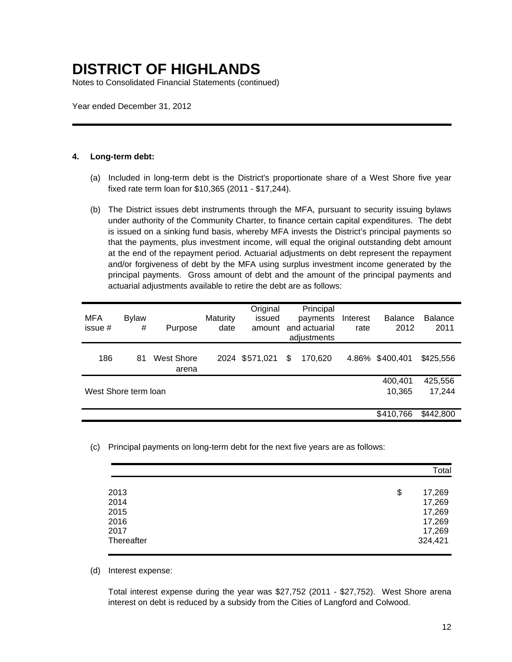Notes to Consolidated Financial Statements (continued)

Year ended December 31, 2012

### **4. Long-term debt:**

- (a) Included in long-term debt is the District's proportionate share of a West Shore five year fixed rate term loan for \$10,365 (2011 - \$17,244).
- (b) The District issues debt instruments through the MFA, pursuant to security issuing bylaws under authority of the Community Charter, to finance certain capital expenditures. The debt is issued on a sinking fund basis, whereby MFA invests the District's principal payments so that the payments, plus investment income, will equal the original outstanding debt amount at the end of the repayment period. Actuarial adjustments on debt represent the repayment and/or forgiveness of debt by the MFA using surplus investment income generated by the principal payments. Gross amount of debt and the amount of the principal payments and actuarial adjustments available to retire the debt are as follows:

| <b>MFA</b><br>issue $#$ | <b>Bylaw</b><br># | Purpose             | Maturity<br>date | Original<br>issued<br>amount | Principal<br>payments<br>and actuarial<br>adjustments | Interest<br>rate | <b>Balance</b><br>2012 | <b>Balance</b><br>2011 |
|-------------------------|-------------------|---------------------|------------------|------------------------------|-------------------------------------------------------|------------------|------------------------|------------------------|
| 186                     | 81                | West Shore<br>arena |                  | 2024 \$571.021               | \$<br>170.620                                         | 4.86%            | \$400.401              | \$425.556              |
| West Shore term loan    |                   |                     |                  |                              |                                                       |                  | 400,401<br>10,365      | 425,556<br>17,244      |
|                         |                   |                     |                  |                              |                                                       |                  |                        |                        |
|                         |                   |                     |                  |                              |                                                       |                  | \$410,766              | \$442,800              |

(c) Principal payments on long-term debt for the next five years are as follows:

|            | Total        |  |
|------------|--------------|--|
| 2013       | \$<br>17,269 |  |
| 2014       | 17,269       |  |
| 2015       | 17,269       |  |
| 2016       | 17,269       |  |
| 2017       | 17,269       |  |
| Thereafter | 324,421      |  |

(d) Interest expense:

Total interest expense during the year was \$27,752 (2011 - \$27,752). West Shore arena interest on debt is reduced by a subsidy from the Cities of Langford and Colwood.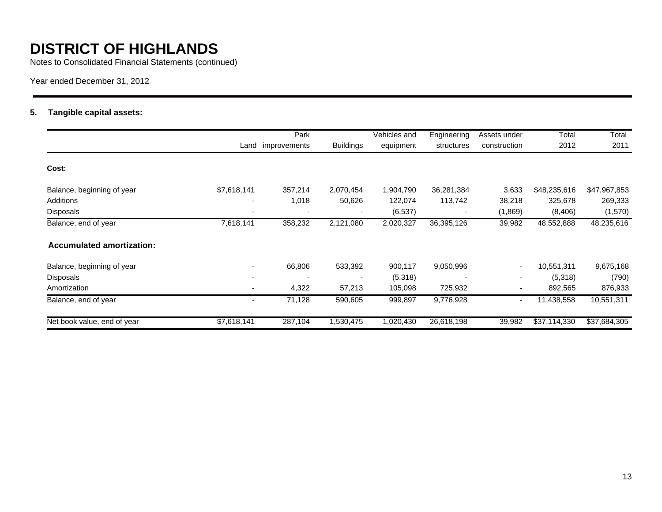Notes to Consolidated Financial Statements (continued)

Year ended December 31, 2012

### **5. Tangible capital assets:**

|                                  |             | Park                     |                          | Vehicles and | Engineering | Assets under             | Total        | Total        |
|----------------------------------|-------------|--------------------------|--------------------------|--------------|-------------|--------------------------|--------------|--------------|
|                                  | Land        | improvements             | <b>Buildings</b>         | equipment    | structures  | construction             | 2012         | 2011         |
| Cost:                            |             |                          |                          |              |             |                          |              |              |
| Balance, beginning of year       | \$7,618,141 | 357,214                  | 2,070,454                | 1,904,790    | 36,281,384  | 3,633                    | \$48,235,616 | \$47,967,853 |
| Additions                        |             | 1,018                    | 50,626                   | 122,074      | 113,742     | 38,218                   | 325,678      | 269,333      |
| <b>Disposals</b>                 |             |                          |                          | (6, 537)     |             | (1,869)                  | (8,406)      | (1,570)      |
| Balance, end of year             | 7,618,141   | 358,232                  | 2,121,080                | 2,020,327    | 36,395,126  | 39,982                   | 48,552,888   | 48,235,616   |
| <b>Accumulated amortization:</b> |             |                          |                          |              |             |                          |              |              |
| Balance, beginning of year       |             | 66,806                   | 533,392                  | 900,117      | 9,050,996   |                          | 10,551,311   | 9,675,168    |
| <b>Disposals</b>                 |             | $\overline{\phantom{a}}$ | $\overline{\phantom{a}}$ | (5,318)      |             | $\overline{\phantom{a}}$ | (5,318)      | (790)        |
| Amortization                     | ٠           | 4,322                    | 57,213                   | 105,098      | 725,932     | $\overline{\phantom{a}}$ | 892,565      | 876,933      |
| Balance, end of year             | ٠           | 71,128                   | 590,605                  | 999,897      | 9,776,928   | $\blacksquare$           | 11,438,558   | 10,551,311   |
| Net book value, end of year      | \$7,618,141 | 287,104                  | 1,530,475                | 1,020,430    | 26,618,198  | 39,982                   | \$37,114,330 | \$37,684,305 |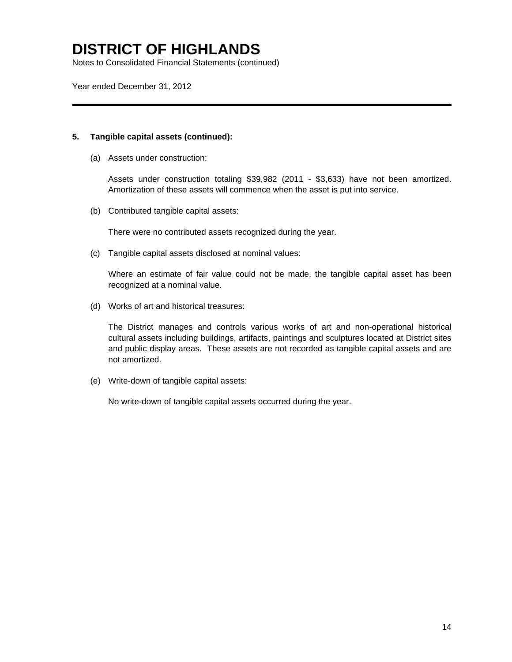Notes to Consolidated Financial Statements (continued)

Year ended December 31, 2012

#### **5. Tangible capital assets (continued):**

(a) Assets under construction:

Assets under construction totaling \$39,982 (2011 - \$3,633) have not been amortized. Amortization of these assets will commence when the asset is put into service.

(b) Contributed tangible capital assets:

There were no contributed assets recognized during the year.

(c) Tangible capital assets disclosed at nominal values:

Where an estimate of fair value could not be made, the tangible capital asset has been recognized at a nominal value.

(d) Works of art and historical treasures:

The District manages and controls various works of art and non-operational historical cultural assets including buildings, artifacts, paintings and sculptures located at District sites and public display areas. These assets are not recorded as tangible capital assets and are not amortized.

(e) Write-down of tangible capital assets:

No write-down of tangible capital assets occurred during the year.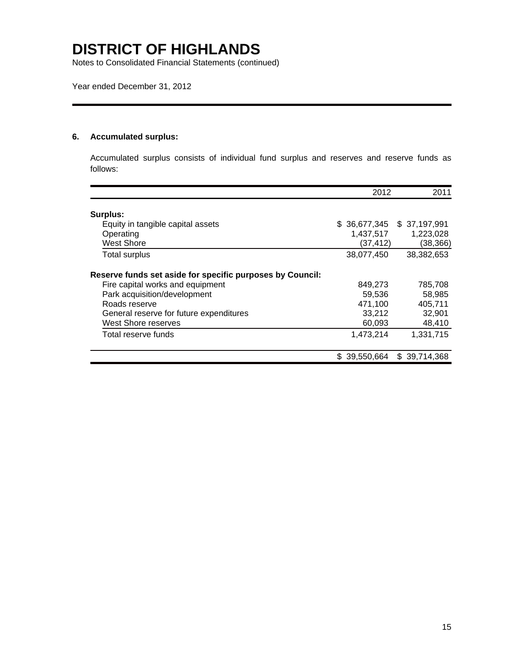Notes to Consolidated Financial Statements (continued)

Year ended December 31, 2012

### **6. Accumulated surplus:**

Accumulated surplus consists of individual fund surplus and reserves and reserve funds as follows:

|                                                           | 2012          | 2011         |
|-----------------------------------------------------------|---------------|--------------|
| Surplus:                                                  |               |              |
| Equity in tangible capital assets                         | \$ 36,677,345 | \$37,197,991 |
| Operating                                                 | 1,437,517     | 1,223,028    |
| <b>West Shore</b>                                         | (37, 412)     | (38,366)     |
| Total surplus                                             | 38,077,450    | 38,382,653   |
| Reserve funds set aside for specific purposes by Council: |               |              |
| Fire capital works and equipment                          | 849,273       | 785,708      |
| Park acquisition/development                              | 59,536        | 58,985       |
| Roads reserve                                             | 471,100       | 405,711      |
| General reserve for future expenditures                   | 33,212        | 32,901       |
| <b>West Shore reserves</b>                                | 60,093        | 48,410       |
| Total reserve funds                                       | 1,473,214     | 1,331,715    |
|                                                           | \$ 39,550,664 | \$39,714,368 |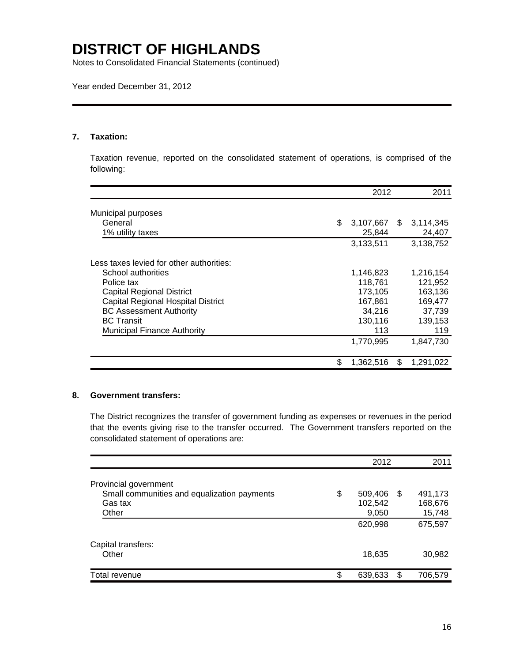Notes to Consolidated Financial Statements (continued)

Year ended December 31, 2012

### **7. Taxation:**

Taxation revenue, reported on the consolidated statement of operations, is comprised of the following:

|                                          | 2012 |           |    | 2011      |  |
|------------------------------------------|------|-----------|----|-----------|--|
| Municipal purposes                       |      |           |    |           |  |
| General                                  | \$   | 3,107,667 | S. | 3,114,345 |  |
| 1% utility taxes                         |      | 25,844    |    | 24,407    |  |
|                                          |      | 3,133,511 |    | 3,138,752 |  |
| Less taxes levied for other authorities: |      |           |    |           |  |
| School authorities                       |      | 1,146,823 |    | 1,216,154 |  |
| Police tax                               |      | 118,761   |    | 121,952   |  |
| <b>Capital Regional District</b>         |      | 173,105   |    | 163,136   |  |
| Capital Regional Hospital District       |      | 167,861   |    | 169,477   |  |
| <b>BC Assessment Authority</b>           |      | 34,216    |    | 37,739    |  |
| <b>BC</b> Transit                        |      | 130,116   |    | 139,153   |  |
| <b>Municipal Finance Authority</b>       |      | 113       |    | 119       |  |
|                                          |      | 1,770,995 |    | 1,847,730 |  |
|                                          | \$   | 1,362,516 | \$ | 1,291,022 |  |

### **8. Government transfers:**

The District recognizes the transfer of government funding as expenses or revenues in the period that the events giving rise to the transfer occurred. The Government transfers reported on the consolidated statement of operations are:

|                                             | 2012          | 2011          |
|---------------------------------------------|---------------|---------------|
| Provincial government                       |               |               |
| Small communities and equalization payments | \$<br>509,406 | \$<br>491,173 |
| Gas tax                                     | 102,542       | 168,676       |
| Other                                       | 9,050         | 15,748        |
|                                             | 620,998       | 675,597       |
| Capital transfers:                          |               |               |
| Other                                       | 18,635        | 30,982        |
|                                             |               |               |
| Total revenue                               | \$<br>639,633 | \$<br>706,579 |
|                                             |               |               |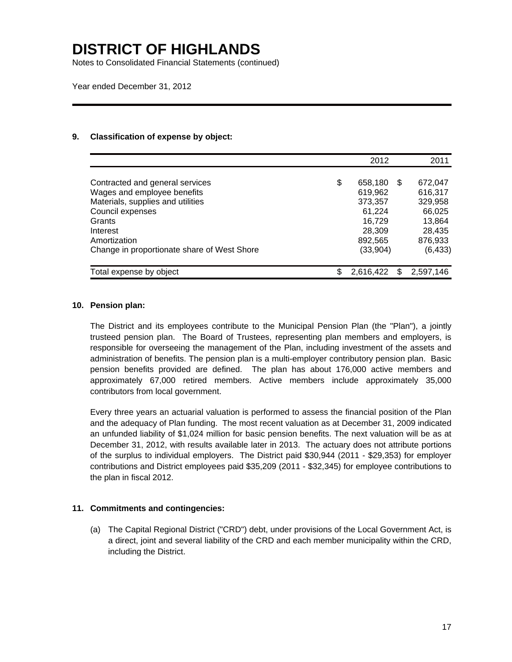Notes to Consolidated Financial Statements (continued)

Year ended December 31, 2012

### **9. Classification of expense by object:**

|                                             |    | 2012      |     | 2011      |
|---------------------------------------------|----|-----------|-----|-----------|
|                                             |    |           |     |           |
| Contracted and general services             | \$ | 658,180   | \$  | 672,047   |
| Wages and employee benefits                 |    | 619.962   |     | 616,317   |
| Materials, supplies and utilities           |    | 373,357   |     | 329,958   |
| Council expenses                            |    | 61.224    |     | 66,025    |
| Grants                                      |    | 16.729    |     | 13,864    |
| Interest                                    |    | 28,309    |     | 28,435    |
| Amortization                                |    | 892,565   |     | 876,933   |
| Change in proportionate share of West Shore |    | (33,904)  |     | (6, 433)  |
|                                             |    |           |     |           |
| Total expense by object                     | S  | 2,616,422 | \$. | 2,597,146 |

#### **10. Pension plan:**

The District and its employees contribute to the Municipal Pension Plan (the "Plan"), a jointly trusteed pension plan. The Board of Trustees, representing plan members and employers, is responsible for overseeing the management of the Plan, including investment of the assets and administration of benefits. The pension plan is a multi-employer contributory pension plan. Basic pension benefits provided are defined. The plan has about 176,000 active members and approximately 67,000 retired members. Active members include approximately 35,000 contributors from local government.

Every three years an actuarial valuation is performed to assess the financial position of the Plan and the adequacy of Plan funding. The most recent valuation as at December 31, 2009 indicated an unfunded liability of \$1,024 million for basic pension benefits. The next valuation will be as at December 31, 2012, with results available later in 2013. The actuary does not attribute portions of the surplus to individual employers. The District paid \$30,944 (2011 - \$29,353) for employer contributions and District employees paid \$35,209 (2011 - \$32,345) for employee contributions to the plan in fiscal 2012.

### **11. Commitments and contingencies:**

(a) The Capital Regional District ("CRD") debt, under provisions of the Local Government Act, is a direct, joint and several liability of the CRD and each member municipality within the CRD, including the District.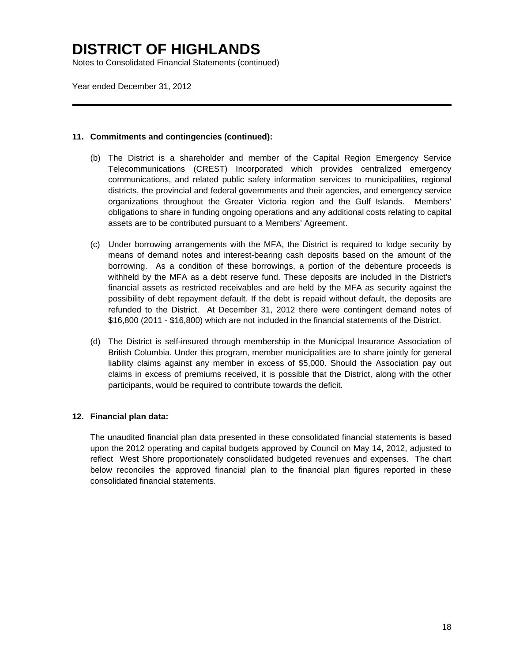Notes to Consolidated Financial Statements (continued)

Year ended December 31, 2012

#### **11. Commitments and contingencies (continued):**

- (b) The District is a shareholder and member of the Capital Region Emergency Service Telecommunications (CREST) Incorporated which provides centralized emergency communications, and related public safety information services to municipalities, regional districts, the provincial and federal governments and their agencies, and emergency service organizations throughout the Greater Victoria region and the Gulf Islands. Members' obligations to share in funding ongoing operations and any additional costs relating to capital assets are to be contributed pursuant to a Members' Agreement.
- (c) Under borrowing arrangements with the MFA, the District is required to lodge security by means of demand notes and interest-bearing cash deposits based on the amount of the borrowing. As a condition of these borrowings, a portion of the debenture proceeds is withheld by the MFA as a debt reserve fund. These deposits are included in the District's financial assets as restricted receivables and are held by the MFA as security against the possibility of debt repayment default. If the debt is repaid without default, the deposits are refunded to the District. At December 31, 2012 there were contingent demand notes of \$16,800 (2011 - \$16,800) which are not included in the financial statements of the District.
- (d) The District is self-insured through membership in the Municipal Insurance Association of British Columbia. Under this program, member municipalities are to share jointly for general liability claims against any member in excess of \$5,000. Should the Association pay out claims in excess of premiums received, it is possible that the District, along with the other participants, would be required to contribute towards the deficit.

### **12. Financial plan data:**

The unaudited financial plan data presented in these consolidated financial statements is based upon the 2012 operating and capital budgets approved by Council on May 14, 2012, adjusted to reflect West Shore proportionately consolidated budgeted revenues and expenses. The chart below reconciles the approved financial plan to the financial plan figures reported in these consolidated financial statements.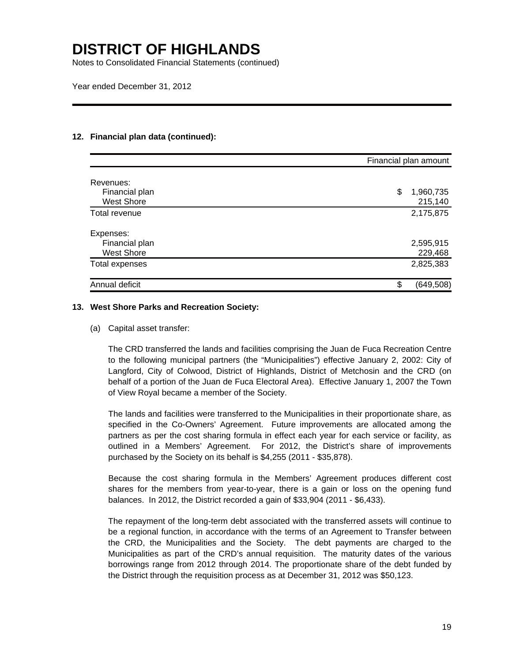Notes to Consolidated Financial Statements (continued)

Year ended December 31, 2012

### **12. Financial plan data (continued):**

|                                     | Financial plan amount      |
|-------------------------------------|----------------------------|
| Revenues:                           |                            |
| Financial plan<br><b>West Shore</b> | \$<br>1,960,735<br>215,140 |
| Total revenue                       | 2,175,875                  |
| Expenses:                           |                            |
| Financial plan                      | 2,595,915                  |
| <b>West Shore</b>                   | 229,468                    |
| Total expenses                      | 2,825,383                  |
| Annual deficit                      | \$<br>(649, 508)           |

### **13. West Shore Parks and Recreation Society:**

(a) Capital asset transfer:

The CRD transferred the lands and facilities comprising the Juan de Fuca Recreation Centre to the following municipal partners (the "Municipalities") effective January 2, 2002: City of Langford, City of Colwood, District of Highlands, District of Metchosin and the CRD (on behalf of a portion of the Juan de Fuca Electoral Area). Effective January 1, 2007 the Town of View Royal became a member of the Society.

The lands and facilities were transferred to the Municipalities in their proportionate share, as specified in the Co-Owners' Agreement. Future improvements are allocated among the partners as per the cost sharing formula in effect each year for each service or facility, as outlined in a Members' Agreement. For 2012, the District's share of improvements purchased by the Society on its behalf is \$4,255 (2011 - \$35,878).

Because the cost sharing formula in the Members' Agreement produces different cost shares for the members from year-to-year, there is a gain or loss on the opening fund balances. In 2012, the District recorded a gain of \$33,904 (2011 - \$6,433).

The repayment of the long-term debt associated with the transferred assets will continue to be a regional function, in accordance with the terms of an Agreement to Transfer between the CRD, the Municipalities and the Society. The debt payments are charged to the Municipalities as part of the CRD's annual requisition. The maturity dates of the various borrowings range from 2012 through 2014. The proportionate share of the debt funded by the District through the requisition process as at December 31, 2012 was \$50,123.